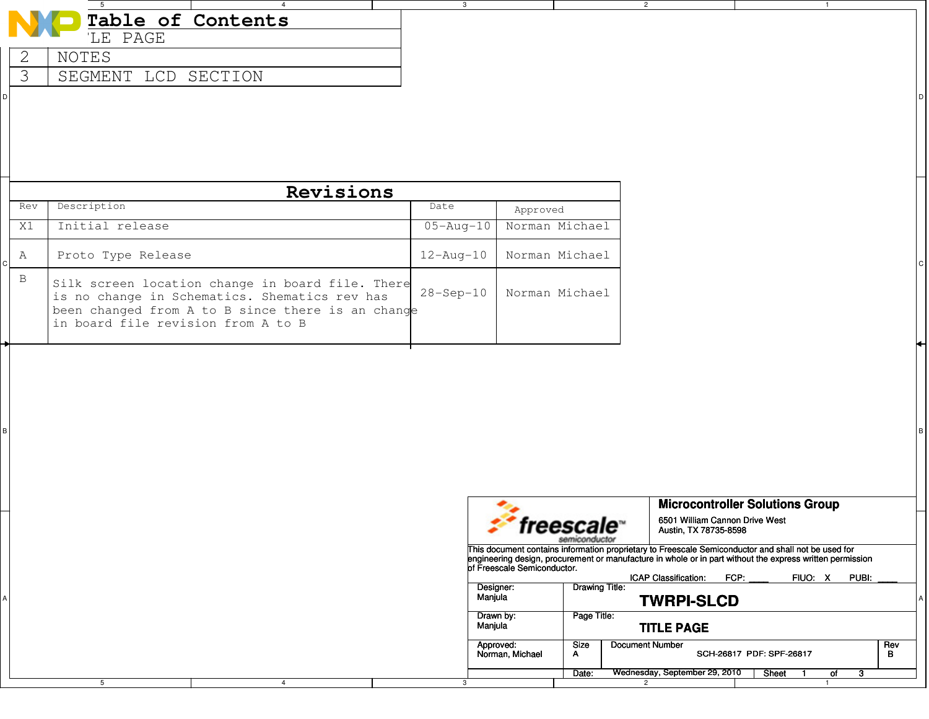| Table of Contents<br>LE PAGE<br>2<br>NOTES<br>$\overline{\mathcal{E}}$<br>SEGMENT LCD SECTION<br>D<br>Revisions<br>Description<br>Date<br>Rev<br>Approved<br>$05 - Aug - 10$<br>Norman Michael<br>Initial release<br>X1<br>Proto Type Release<br>$12 - \text{Aug} - 10$<br>Norman Michael<br>A<br>B<br>Silk screen location change in board file. There<br>$28 - Sep - 10$<br>Norman Michael<br>is no change in Schematics. Shematics rev has<br>been changed from A to B since there is an change<br>in board file revision from A to B |                                                                                                                                                                                                                                                                                                                                                        |
|------------------------------------------------------------------------------------------------------------------------------------------------------------------------------------------------------------------------------------------------------------------------------------------------------------------------------------------------------------------------------------------------------------------------------------------------------------------------------------------------------------------------------------------|--------------------------------------------------------------------------------------------------------------------------------------------------------------------------------------------------------------------------------------------------------------------------------------------------------------------------------------------------------|
|                                                                                                                                                                                                                                                                                                                                                                                                                                                                                                                                          |                                                                                                                                                                                                                                                                                                                                                        |
|                                                                                                                                                                                                                                                                                                                                                                                                                                                                                                                                          |                                                                                                                                                                                                                                                                                                                                                        |
|                                                                                                                                                                                                                                                                                                                                                                                                                                                                                                                                          |                                                                                                                                                                                                                                                                                                                                                        |
| $\sf B$                                                                                                                                                                                                                                                                                                                                                                                                                                                                                                                                  |                                                                                                                                                                                                                                                                                                                                                        |
|                                                                                                                                                                                                                                                                                                                                                                                                                                                                                                                                          |                                                                                                                                                                                                                                                                                                                                                        |
|                                                                                                                                                                                                                                                                                                                                                                                                                                                                                                                                          |                                                                                                                                                                                                                                                                                                                                                        |
|                                                                                                                                                                                                                                                                                                                                                                                                                                                                                                                                          |                                                                                                                                                                                                                                                                                                                                                        |
|                                                                                                                                                                                                                                                                                                                                                                                                                                                                                                                                          |                                                                                                                                                                                                                                                                                                                                                        |
|                                                                                                                                                                                                                                                                                                                                                                                                                                                                                                                                          |                                                                                                                                                                                                                                                                                                                                                        |
|                                                                                                                                                                                                                                                                                                                                                                                                                                                                                                                                          |                                                                                                                                                                                                                                                                                                                                                        |
|                                                                                                                                                                                                                                                                                                                                                                                                                                                                                                                                          | <b>Microcontroller Solutions Group</b><br>6501 William Cannon Drive West                                                                                                                                                                                                                                                                               |
| <i><b>Treescale</b></i>                                                                                                                                                                                                                                                                                                                                                                                                                                                                                                                  | Austin, TX 78735-8598<br>semiconductor                                                                                                                                                                                                                                                                                                                 |
| of Freescale Semiconductor.<br>Designer:<br>Manjula<br>Α<br>Drawn by:<br>Manjula<br><b>Size</b>                                                                                                                                                                                                                                                                                                                                                                                                                                          | This document contains information proprietary to Freescale Semiconductor and shall not be used for<br>engineering design, procurement or manufacture in whole or in part without the express written permission<br>ICAP Classification:<br>FCP:<br>FIUO: X<br>PUBI:<br><b>Drawing Title:</b><br><b>TWRPI-SLCD</b><br>Page Title:<br><b>TITLE PAGE</b> |
| Approved:<br>Norman, Michael<br>A<br>Date:                                                                                                                                                                                                                                                                                                                                                                                                                                                                                               | <b>Document Number</b><br>Rev                                                                                                                                                                                                                                                                                                                          |

3

2

1

5

4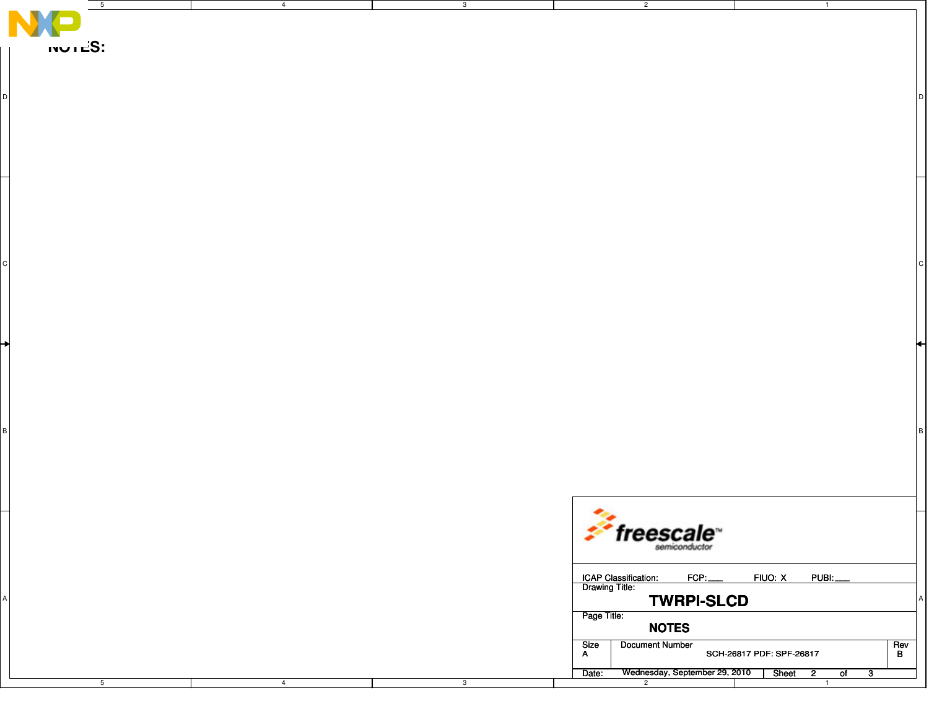| 5               | 4              | 3 <sup>3</sup> | $\overline{2}$                                                             | $\overline{1}$                                                                    |
|-----------------|----------------|----------------|----------------------------------------------------------------------------|-----------------------------------------------------------------------------------|
|                 |                |                |                                                                            |                                                                                   |
| $iv$ ישוב $S$ : |                |                |                                                                            |                                                                                   |
|                 |                |                |                                                                            |                                                                                   |
|                 |                |                |                                                                            |                                                                                   |
|                 |                |                |                                                                            |                                                                                   |
|                 |                |                |                                                                            |                                                                                   |
|                 |                |                |                                                                            |                                                                                   |
|                 |                |                |                                                                            |                                                                                   |
| ⊬               |                |                |                                                                            |                                                                                   |
|                 |                |                |                                                                            |                                                                                   |
|                 |                |                |                                                                            |                                                                                   |
|                 |                |                |                                                                            |                                                                                   |
|                 |                |                |                                                                            |                                                                                   |
|                 |                |                | $f$ reescale                                                               |                                                                                   |
|                 |                |                | FCP:                                                                       | FIUO: X<br>PUBL                                                                   |
|                 |                |                | ICAP Classification:<br>Drawing Title:<br><b>TWRPI-SLCD</b><br>Page Title: |                                                                                   |
|                 |                |                | <b>NOTES</b><br>Document Number<br>Size<br>A                               | $R$ ev<br>B<br>SCH-26817 PDF: SPF-26817                                           |
| $\overline{5}$  | $\overline{4}$ | $\mathbf{3}$   | Wednesday, September 29, 2010<br>Date:<br>$\overline{2}$                   | Sheet<br>$\overline{2}$<br>$\circ$ f<br>$\overline{\mathbf{3}}$<br>$\overline{1}$ |
|                 |                |                |                                                                            |                                                                                   |